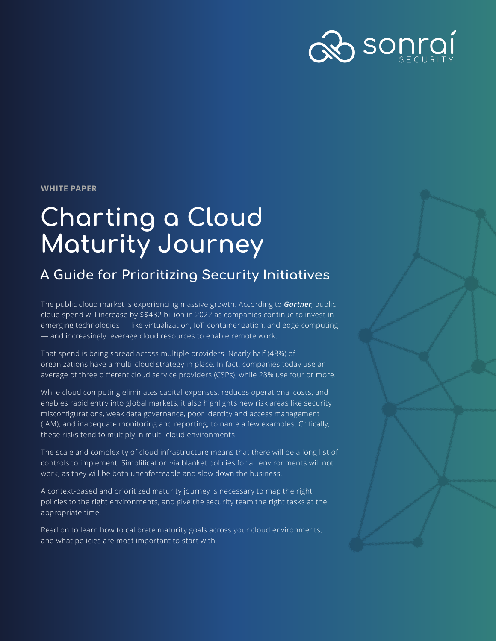

**WHITE PAPER**

# **Charting a Cloud Maturity Journey**

# **A Guide for Prioritizing Security Initiatives**

The public cloud market is experiencing massive growth. According to *[Gartner](https://www.gartner.com/en/newsroom/press-releases/2021-04-21-gartner-forecasts-worldwide-public-cloud-end-user-spending-to-grow-23-percent-in-2021)*, public cloud spend will increase by \$\$482 billion in 2022 as companies continue to invest in emerging technologies — like virtualization, IoT, containerization, and edge computing — and increasingly leverage cloud resources to enable remote work.

That spend is being spread across multiple providers. Nearly half (48%) of organizations have a multi-cloud strategy in place. In fact, companies today use an average of three different cloud service providers (CSPs), while 28% use four or more.

While cloud computing eliminates capital expenses, reduces operational costs, and enables rapid entry into global markets, it also highlights new risk areas like security misconfigurations, weak data governance, poor identity and access management (IAM), and inadequate monitoring and reporting, to name a few examples. Critically, these risks tend to multiply in multi-cloud environments.

The scale and complexity of cloud infrastructure means that there will be a long list of controls to implement. Simplification via blanket policies for all environments will not work, as they will be both unenforceable and slow down the business.

A context-based and prioritized maturity journey is necessary to map the right policies to the right environments, and give the security team the right tasks at the appropriate time.

Read on to learn how to calibrate maturity goals across your cloud environments, and what policies are most important to start with.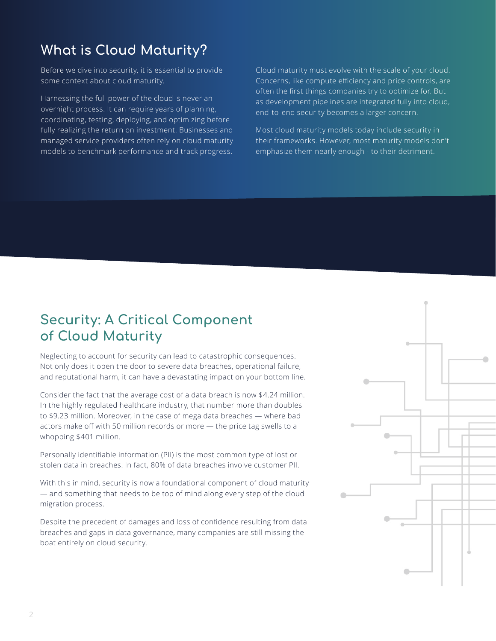# **What is Cloud Maturity?**

Before we dive into security, it is essential to provide some context about cloud maturity.

Harnessing the full power of the cloud is never an overnight process. It can require years of planning, coordinating, testing, deploying, and optimizing before fully realizing the return on investment. Businesses and managed service providers often rely on cloud maturity models to benchmark performance and track progress. Cloud maturity must evolve with the scale of your cloud. Concerns, like compute efficiency and price controls, are often the first things companies try to optimize for. But as development pipelines are integrated fully into cloud, end-to-end security becomes a larger concern.

Most cloud maturity models today include security in their frameworks. However, most maturity models don't emphasize them nearly enough - to their detriment.

## **Security: A Critical Component of Cloud Maturity**

Neglecting to account for security can lead to catastrophic consequences. Not only does it open the door to severe data breaches, operational failure, and reputational harm, it can have a devastating impact on your bottom line.

Consider the fact that the average cost of a data breach is now \$4.24 million. In the highly regulated healthcare industry, that number more than doubles to \$9.23 million. Moreover, in the case of mega data breaches — where bad actors make off with 50 million records or more — the price tag swells to a whopping \$401 million.

Personally identifiable information (PII) is the most common type of lost or stolen data in breaches. In fact, 80% of data breaches involve customer PII.

With this in mind, security is now a foundational component of cloud maturity — and something that needs to be top of mind along every step of the cloud migration process.

Despite the precedent of damages and loss of confidence resulting from data breaches and gaps in data governance, many companies are still missing the boat entirely on cloud security.

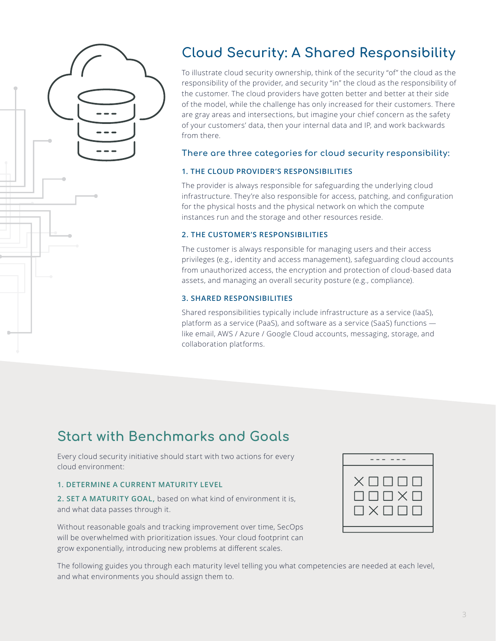

# **Cloud Security: A Shared Responsibility**

To illustrate cloud security ownership, think of the security "of" the cloud as the responsibility of the provider, and security "in" the cloud as the responsibility of the customer. The cloud providers have gotten better and better at their side of the model, while the challenge has only increased for their customers. There are gray areas and intersections, but imagine your chief concern as the safety of your customers' data, then your internal data and IP, and work backwards from there.

### **There are three categories for cloud security responsibility:**

#### **1. THE CLOUD PROVIDER'S RESPONSIBILITIES**

The provider is always responsible for safeguarding the underlying cloud infrastructure. They're also responsible for access, patching, and configuration for the physical hosts and the physical network on which the compute instances run and the storage and other resources reside.

#### **2. THE CUSTOMER'S RESPONSIBILITIES**

The customer is always responsible for managing users and their access privileges (e.g., identity and access management), safeguarding cloud accounts from unauthorized access, the encryption and protection of cloud-based data assets, and managing an overall security posture (e.g., compliance).

### **3. SHARED RESPONSIBILITIES**

Shared responsibilities typically include infrastructure as a service (IaaS), platform as a service (PaaS), and software as a service (SaaS) functions like email, AWS / Azure / Google Cloud accounts, messaging, storage, and collaboration platforms.

# **Start with Benchmarks and Goals**

Every cloud security initiative should start with two actions for every cloud environment:

#### **1. DETERMINE A CURRENT MATURITY LEVEL**

**2. SET A MATURITY GOAL,** based on what kind of environment it is, and what data passes through it.

Without reasonable goals and tracking improvement over time, SecOps will be overwhelmed with prioritization issues. Your cloud footprint can grow exponentially, introducing new problems at different scales.

| $\times$ $\Box$ $\Box$ $\Box$ $\Box$<br>$\Box$ $\Box$ $\Box$ $\times$ $\Box$<br>$\Box$ $\times$ $\Box$ $\Box$ $\Box$ |
|----------------------------------------------------------------------------------------------------------------------|
|                                                                                                                      |

The following guides you through each maturity level telling you what competencies are needed at each level, and what environments you should assign them to.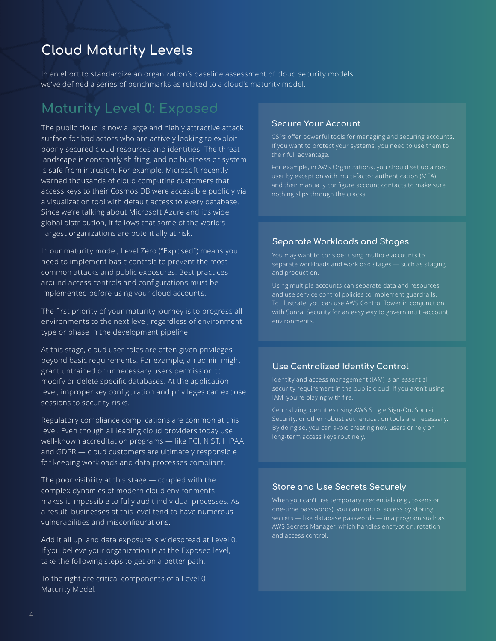# **Cloud Maturity Levels**

In an effort to standardize an organization's baseline assessment of cloud security models, we've defined a series of benchmarks as related to a cloud's maturity model.

# **Maturity Level 0: Exposed**

The public cloud is now a large and highly attractive attack surface for bad actors who are actively looking to exploit poorly secured cloud resources and identities. The threat landscape is constantly shifting, and no business or system is safe from intrusion. For example, Microsoft recently warned thousands of cloud computing customers that access keys to their Cosmos DB were accessible publicly via a visualization tool with default access to every database. Since we're talking about Microsoft Azure and it's wide global distribution, it follows that some of the world's largest organizations are potentially at risk.

In our maturity model, Level Zero ("Exposed") means you need to implement basic controls to prevent the most common attacks and public exposures. Best practices around access controls and configurations must be implemented before using your cloud accounts.

The first priority of your maturity journey is to progress all environments to the next level, regardless of environment type or phase in the development pipeline.

At this stage, cloud user roles are often given privileges beyond basic requirements. For example, an admin might grant untrained or unnecessary users permission to modify or delete specific databases. At the application level, improper key configuration and privileges can expose sessions to security risks.

Regulatory compliance complications are common at this level. Even though all leading cloud providers today use well-known accreditation programs — like PCI, NIST, HIPAA, and GDPR — cloud customers are ultimately responsible for keeping workloads and data processes compliant.

The poor visibility at this stage — coupled with the complex dynamics of modern cloud environments makes it impossible to fully audit individual processes. As a result, businesses at this level tend to have numerous vulnerabilities and misconfigurations.

Add it all up, and data exposure is widespread at Level 0. If you believe your organization is at the Exposed level, take the following steps to get on a better path.

To the right are critical components of a Level 0 Maturity Model.

#### **Secure Your Account**

CSPs offer powerful tools for managing and securing accounts. If you want to protect your systems, you need to use them to their full advantage.

For example, in AWS Organizations, you should set up a root user by exception with multi-factor authentication (MFA) and then manually configure account contacts to make sure nothing slips through the cracks.

#### **Separate Workloads and Stages**

You may want to consider using multiple accounts to separate workloads and workload stages — such as staging and production.

Using multiple accounts can separate data and resources and use service control policies to implement guardrails. with Sonrai Security for an easy way to govern multi-account environments.

### **Use Centralized Identity Control**

Identity and access management (IAM) is an essential security requirement in the public cloud. If you aren't using IAM, you're playing with fire.

Centralizing identities using AWS Single Sign-On, Sonrai Security, or other robust authentication tools are necessary. By doing so, you can avoid creating new users or rely on long-term access keys routinely.

#### **Store and Use Secrets Securely**

When you can't use temporary credentials (e.g., tokens or one-time passwords), you can control access by storing secrets — like database passwords — in a program such as AWS Secrets Manager, which handles encryption, rotation, and access control.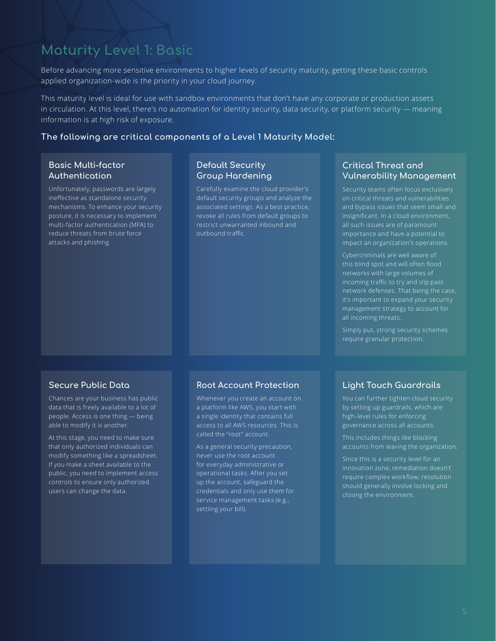# **Maturity Level 1: Basic**

Before advancing more sensitive environments to higher levels of security maturity, getting these basic controls applied organization-wide is the priority in your cloud journey.

This maturity level is ideal for use with sandbox environments that don't have any corporate or production assets in circulation. At this level, there's no automation for identity security, data security, or platform security — meaning information is at high risk of exposure.

#### **The following are critical components of a Level 1 Maturity Model:**

### **Basic Multi-factor Authentication**

Unfortunately, passwords are largely ineffective as standalone security mechanisms. To enhance your security posture, it is necessary to implement multi-factor authentication (MFA) to reduce threats from brute force attacks and phishing.

### **Default Security Group Hardening**

Carefully examine the cloud provider's default security groups and analyze the associated settings. As a best practice, revoke all rules from default groups to restrict unwarranted inbound and outbound traffic.

### **Critical Threat and Vulnerability Management**

Security teams often focus exclusively on critical threats and vulnerabilities and bypass issues that seem small and insignificant. In a cloud environment, all such issues are of paramount importance and have a potential to impact an organization's operations.

Cybercriminals are well aware of this blind spot and will often flood networks with large volumes of incoming traffic to try and slip past network defenses. That being the case, it's important to expand your security management strategy to account for all incoming threats.

Simply put, strong security schemes require granular protection.

### **Secure Public Data**

Chances are your business has public data that is freely available to a lot of people. Access is one thing — being able to modify it is another.

At this stage, you need to make sure that only authorized individuals can modify something like a spreadsheet. If you make a sheet available to the public, you need to implement access controls to ensure only authorized users can change the data.

#### **Root Account Protection**

Whenever you create an account on a platform like AWS, you start with a single identity that contains full access to all AWS resources. This is called the "root" account.

As a general security precaution, never use the root account for everyday administrative or operational tasks. After you set up the account, safeguard the credentials and only use them for service management tasks (e.g., settling your bill).

### **Light Touch Guardrails**

You can further tighten cloud security by setting up guardrails, which are high-level rules for enforcing governance across all accounts.

This includes things like blocking accounts from leaving the organization.

Since this is a security level for an innovation zone, remediation doesn't require complex workflow; resolution should generally involve locking and closing the environment.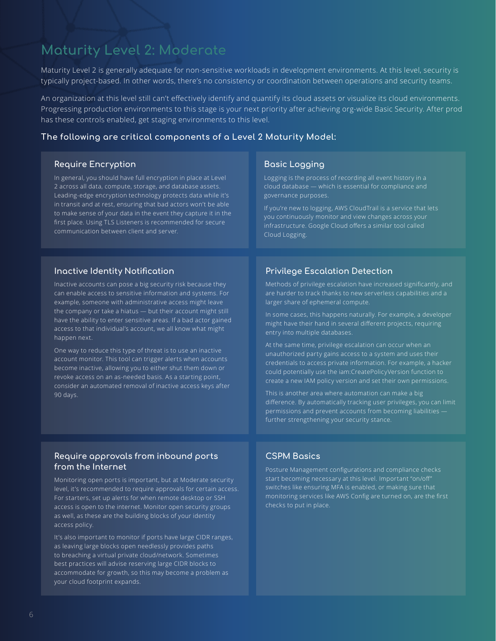# **Maturity Level 2: Moderate**

Maturity Level 2 is generally adequate for non-sensitive workloads in development environments. At this level, security is typically project-based. In other words, there's no consistency or coordination between operations and security teams.

An organization at this level still can't effectively identify and quantify its cloud assets or visualize its cloud environments. Progressing production environments to this stage is your next priority after achieving org-wide Basic Security. After prod has these controls enabled, get staging environments to this level.

#### **The following are critical components of a Level 2 Maturity Model:**

#### **Require Encryption**

In general, you should have full encryption in place at Level 2 across all data, compute, storage, and database assets. Leading-edge encryption technology protects data while it's in transit and at rest, ensuring that bad actors won't be able to make sense of your data in the event they capture it in the first place. Using TLS Listeners is recommended for secure communication between client and server.

### **Inactive Identity Notification**

Inactive accounts can pose a big security risk because they can enable access to sensitive information and systems. For example, someone with administrative access might leave the company or take a hiatus — but their account might still have the ability to enter sensitive areas. If a bad actor gained access to that individual's account, we all know what might happen next.

One way to reduce this type of threat is to use an inactive account monitor. This tool can trigger alerts when accounts become inactive, allowing you to either shut them down or revoke access on an as-needed basis. As a starting point, consider an automated removal of inactive access keys after 90 days.

#### **Require approvals from inbound ports from the Internet**

Monitoring open ports is important, but at Moderate security level, it's recommended to require approvals for certain access. For starters, set up alerts for when remote desktop or SSH access is open to the internet. Monitor open security groups as well, as these are the building blocks of your identity access policy.

It's also important to monitor if ports have large CIDR ranges, as leaving large blocks open needlessly provides paths to breaching a virtual private cloud/network. Sometimes best practices will advise reserving large CIDR blocks to accommodate for growth, so this may become a problem as your cloud footprint expands.

#### **Basic Logging**

Logging is the process of recording all event history in a cloud database — which is essential for compliance and governance purposes.

If you're new to logging, AWS CloudTrail is a service that lets you continuously monitor and view changes across your infrastructure. Google Cloud offers a similar tool called Cloud Logging.

### **Privilege Escalation Detection**

Methods of privilege escalation have increased significantly, and are harder to track thanks to new serverless capabilities and a larger share of ephemeral compute.

In some cases, this happens naturally. For example, a developer might have their hand in several different projects, requiring entry into multiple databases.

At the same time, privilege escalation can occur when an unauthorized party gains access to a system and uses their credentials to access private information. For example, a hacker could potentially use the iam:CreatePolicyVersion function to create a new IAM policy version and set their own permissions.

This is another area where automation can make a big difference. By automatically tracking user privileges, you can limit permissions and prevent accounts from becoming liabilities further strengthening your security stance.

### **CSPM Basics**

Posture Management configurations and compliance checks start becoming necessary at this level. Important "on/off" switches like ensuring MFA is enabled, or making sure that monitoring services like AWS Config are turned on, are the first checks to put in place.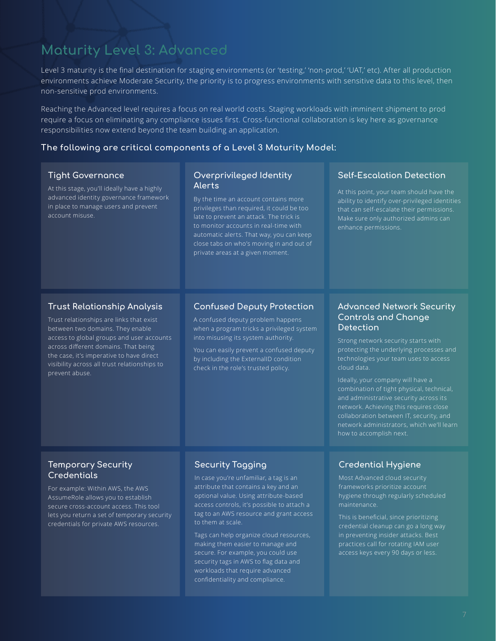# **Maturity Level 3: Advanced**

Level 3 maturity is the final destination for staging environments (or 'testing,' 'non-prod,' 'UAT,' etc). After all production environments achieve Moderate Security, the priority is to progress environments with sensitive data to this level, then non-sensitive prod environments.

Reaching the Advanced level requires a focus on real world costs. Staging workloads with imminent shipment to prod require a focus on eliminating any compliance issues first. Cross-functional collaboration is key here as governance responsibilities now extend beyond the team building an application.

### **The following are critical components of a Level 3 Maturity Model:**

#### **Tight Governance**

At this stage, you'll ideally have a highly advanced identity governance framework in place to manage users and prevent account misuse.

#### **Overprivileged Identity Alerts**

By the time an account contains more privileges than required, it could be too late to prevent an attack. The trick is to monitor accounts in real-time with automatic alerts. That way, you can keep close tabs on who's moving in and out of private areas at a given moment.

#### **Self-Escalation Detection**

At this point, your team should have the ability to identify over-privileged identities enhance permissions.

### **Trust Relationship Analysis**

Trust relationships are links that exist between two domains. They enable access to global groups and user accounts across different domains. That being the case, it's imperative to have direct visibility across all trust relationships to prevent abuse.

#### **Confused Deputy Protection**

A confused deputy problem happens when a program tricks a privileged system into misusing its system authority.

You can easily prevent a confused deputy by including the ExternalID condition check in the role's trusted policy.

### **Advanced Network Security Controls and Change Detection**

Strong network security starts with protecting the underlying processes and technologies your team uses to access cloud data.

Ideally, your company will have a combination of tight physical, technical, and administrative security across its network. Achieving this requires close collaboration between IT, security, and network administrators, which we'll learn how to accomplish next.

### **Temporary Security Credentials**

For example: Within AWS, the AWS AssumeRole allows you to establish secure cross-account access. This tool lets you return a set of temporary security credentials for private AWS resources.

### **Security Tagging**

In case you're unfamiliar, a tag is an attribute that contains a key and an optional value. Using attribute-based access controls, it's possible to attach a tag to an AWS resource and grant access to them at scale.

Tags can help organize cloud resources, making them easier to manage and secure. For example, you could use security tags in AWS to flag data and workloads that require advanced confidentiality and compliance.

#### **Credential Hygiene**

Most Advanced cloud security frameworks prioritize account hygiene through regularly scheduled maintenance.

This is beneficial, since prioritizing credential cleanup can go a long way in preventing insider attacks. Best practices call for rotating IAM user access keys every 90 days or less.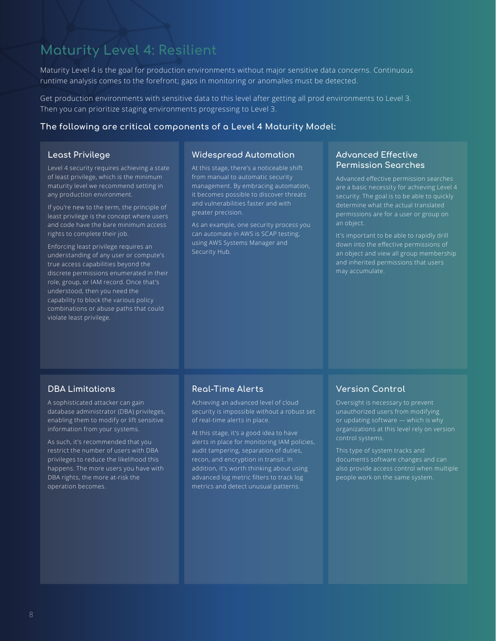# **Maturity Level 4: Resilient**

Maturity Level 4 is the goal for production environments without major sensitive data concerns. Continuous runtime analysis comes to the forefront; gaps in monitoring or anomalies must be detected.

Get production environments with sensitive data to this level after getting all prod environments to Level 3. Then you can prioritize staging environments progressing to Level 3.

#### **The following are critical components of a Level 4 Maturity Model:**

#### **Least Privilege**

Level 4 security requires achieving a state of least privilege, which is the minimum maturity level we recommend setting in any production environment.

If you're new to the term, the principle of least privilege is the concept where users and code have the bare minimum access rights to complete their job.

Enforcing least privilege requires an understanding of any user or compute's true access capabilities beyond the discrete permissions enumerated in their role, group, or IAM record. Once that's understood, then you need the capability to block the various policy combinations or abuse paths that could violate least privilege.

#### **Widespread Automation**

At this stage, there's a noticeable shift from manual to automatic security management. By embracing automation, it becomes possible to discover threats and vulnerabilities faster and with greater precision.

As an example, one security process you can automate in AWS is SCAP testing, using AWS Systems Manager and Security Hub.

#### **Advanced Effective Permission Searches**

Advanced effective permission searches are a basic necessity for achieving Level 4 security. The goal is to be able to quickly determine what the actual translated permissions are for a user or group on an object.

It's important to be able to rapidly drill down into the effective permissions of an object and view all group membership and inherited permissions that users

#### **DBA Limitations**

A sophisticated attacker can gain database administrator (DBA) privileges, enabling them to modify or lift sensitive information from your systems.

As such, it's recommended that you restrict the number of users with DBA privileges to reduce the likelihood this happens. The more users you have with DBA rights, the more at-risk the operation becomes.

#### **Real-Time Alerts**

Achieving an advanced level of cloud security is impossible without a robust set of real-time alerts in place.

At this stage, it's a good idea to have alerts in place for monitoring IAM policies, audit tampering, separation of duties, recon, and encryption in transit. In addition, it's worth thinking about using advanced log metric filters to track log metrics and detect unusual patterns.

#### **Version Control**

Oversight is necessary to prevent unauthorized users from modifying or updating software — which is why organizations at this level rely on version control systems.

This type of system tracks and documents software changes and can also provide access control when multiple people work on the same system.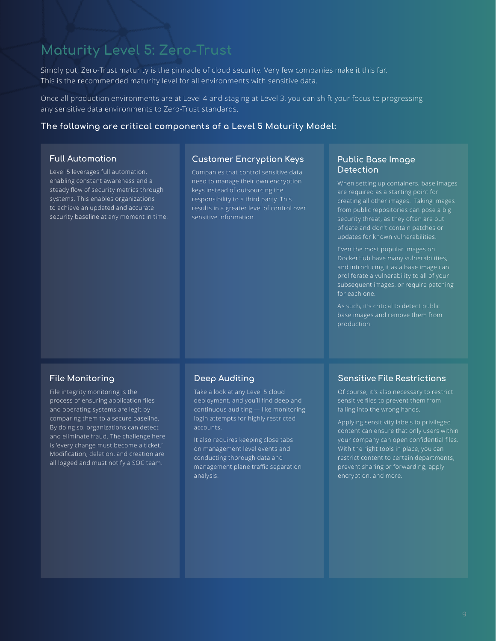# **Maturity Level 5: Zero-Trust**

Simply put, Zero-Trust maturity is the pinnacle of cloud security. Very few companies make it this far. This is the recommended maturity level for all environments with sensitive data.

Once all production environments are at Level 4 and staging at Level 3, you can shift your focus to progressing any sensitive data environments to Zero-Trust standards.

#### **The following are critical components of a Level 5 Maturity Model:**

#### **Full Automation**

Level 5 leverages full automation, enabling constant awareness and a steady flow of security metrics through systems. This enables organizations to achieve an updated and accurate security baseline at any moment in time.

#### **Customer Encryption Keys**

Companies that control sensitive data need to manage their own encryption keys instead of outsourcing the responsibility to a third party. This results in a greater level of control over sensitive information.

#### **Public Base Image Detection**

When setting up containers, base images are required as a starting point for creating all other images. Taking images from public repositories can pose a big of date and don't contain patches or updates for known vulnerabilities.

Even the most popular images on and introducing it as a base image can subsequent images, or require patching for each one.

As such, it's critical to detect public base images and remove them from production.

#### **File Monitoring**

File integrity monitoring is the process of ensuring application files and operating systems are legit by comparing them to a secure baseline. By doing so, organizations can detect and eliminate fraud. The challenge here is 'every change must become a ticket.' Modification, deletion, and creation are all logged and must notify a SOC team.

#### **Deep Auditing**

Take a look at any Level 5 cloud deployment, and you'll find deep and continuous auditing — like monitoring login attempts for highly restricted accounts.

It also requires keeping close tabs on management level events and conducting thorough data and management plane traffic separation analysis.

#### **Sensitive File Restrictions**

Of course, it's also necessary to restrict falling into the wrong hands.

Applying sensitivity labels to privileged your company can open confidential files. With the right tools in place, you can restrict content to certain departments, prevent sharing or forwarding, apply encryption, and more.